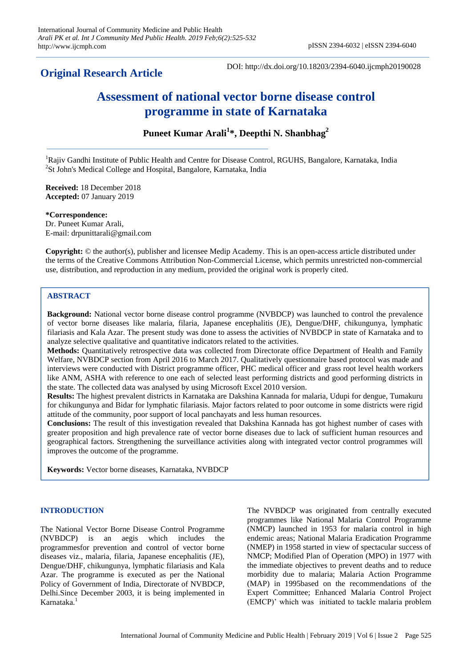# **Original Research Article**

DOI: http://dx.doi.org/10.18203/2394-6040.ijcmph20190028

# **Assessment of national vector borne disease control programme in state of Karnataka**

**Puneet Kumar Arali<sup>1</sup> \*, Deepthi N. Shanbhag<sup>2</sup>**

<sup>1</sup>Rajiv Gandhi Institute of Public Health and Centre for Disease Control, RGUHS, Bangalore, Karnataka, India <sup>2</sup>St John's Medical College and Hospital, Bangalore, Karnataka, India

**Received:** 18 December 2018 **Accepted:** 07 January 2019

**\*Correspondence:** Dr. Puneet Kumar Arali, E-mail: drpunittarali@gmail.com

**Copyright:** © the author(s), publisher and licensee Medip Academy. This is an open-access article distributed under the terms of the Creative Commons Attribution Non-Commercial License, which permits unrestricted non-commercial use, distribution, and reproduction in any medium, provided the original work is properly cited.

# **ABSTRACT**

**Background:** National vector borne disease control programme (NVBDCP) was launched to control the prevalence of vector borne diseases like malaria, filaria, Japanese encephalitis (JE), Dengue/DHF, chikungunya, lymphatic filariasis and Kala Azar. The present study was done to assess the activities of NVBDCP in state of Karnataka and to analyze selective qualitative and quantitative indicators related to the activities.

**Methods:** Quantitatively retrospective data was collected from Directorate office Department of Health and Family Welfare, NVBDCP section from April 2016 to March 2017. Qualitatively questionnaire based protocol was made and interviews were conducted with District programme officer, PHC medical officer and grass root level health workers like ANM, ASHA with reference to one each of selected least performing districts and good performing districts in the state. The collected data was analysed by using Microsoft Excel 2010 version.

**Results:** The highest prevalent districts in Karnataka are Dakshina Kannada for malaria, Udupi for dengue, Tumakuru for chikungunya and Bidar for lymphatic filariasis. Major factors related to poor outcome in some districts were rigid attitude of the community, poor support of local panchayats and less human resources.

**Conclusions:** The result of this investigation revealed that Dakshina Kannada has got highest number of cases with greater proposition and high prevalence rate of vector borne diseases due to lack of sufficient human resources and geographical factors. Strengthening the surveillance activities along with integrated vector control programmes will improves the outcome of the programme.

**Keywords:** Vector borne diseases, Karnataka, NVBDCP

# **INTRODUCTION**

The National Vector Borne Disease Control Programme (NVBDCP) is an aegis which includes the programmesfor prevention and control of vector borne diseases viz., malaria, filaria, Japanese encephalitis (JE), Dengue/DHF, chikungunya, lymphatic filariasis and Kala Azar. The programme is executed as per the National Policy of Government of India, Directorate of NVBDCP, Delhi.Since December 2003, it is being implemented in Karnataka.<sup>1</sup>

The NVBDCP was originated from centrally executed programmes like National Malaria Control Programme (NMCP) launched in 1953 for malaria control in high endemic areas; National Malaria Eradication Programme (NMEP) in 1958 started in view of spectacular success of NMCP; Modified Plan of Operation (MPO) in 1977 with the immediate objectives to prevent deaths and to reduce morbidity due to malaria; Malaria Action Programme (MAP) in 1995based on the recommendations of the Expert Committee; Enhanced Malaria Control Project (EMCP)' which was initiated to tackle malaria problem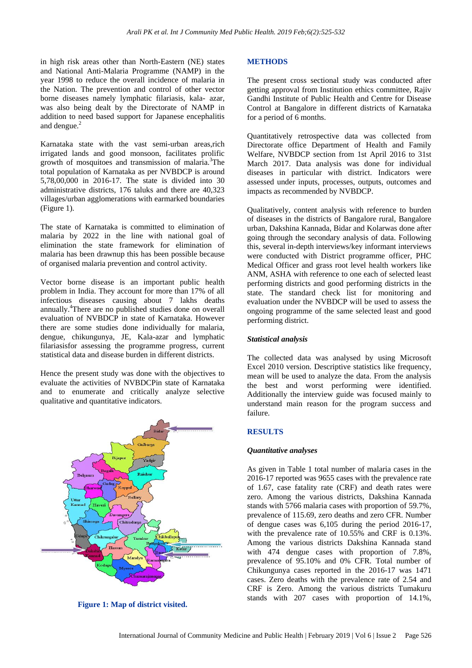in high risk areas other than North-Eastern (NE) states and National Anti-Malaria Programme (NAMP) in the year 1998 to reduce the overall incidence of malaria in the Nation. The prevention and control of other vector borne diseases namely lymphatic filariasis, kala- azar, was also being dealt by the Directorate of NAMP in addition to need based support for Japanese encephalitis and dengue.<sup>2</sup>

Karnataka state with the vast semi-urban areas,rich irrigated lands and good monsoon, facilitates prolific growth of mosquitoes and transmission of malaria.<sup>3</sup>The total population of Karnataka as per NVBDCP is around 5,78,00,000 in 2016-17. The state is divided into 30 administrative districts, 176 taluks and there are 40,323 villages/urban agglomerations with earmarked boundaries (Figure 1).

The state of Karnataka is committed to elimination of malaria by 2022 in the line with national goal of elimination the state framework for elimination of malaria has been drawnup this has been possible because of organised malaria prevention and control activity.

Vector borne disease is an important public health problem in India. They account for more than 17% of all infectious diseases causing about 7 lakhs deaths annually.<sup>4</sup>There are no published studies done on overall evaluation of NVBDCP in state of Karnataka. However there are some studies done individually for malaria, dengue, chikungunya, JE, Kala-azar and lymphatic filariasisfor assessing the programme progress, current statistical data and disease burden in different districts.

Hence the present study was done with the objectives to evaluate the activities of NVBDCPin state of Karnataka and to enumerate and critically analyze selective qualitative and quantitative indicators.



**Figure 1: Map of district visited.**

#### **METHODS**

The present cross sectional study was conducted after getting approval from Institution ethics committee, Rajiv Gandhi Institute of Public Health and Centre for Disease Control at Bangalore in different districts of Karnataka for a period of 6 months.

Quantitatively retrospective data was collected from Directorate office Department of Health and Family Welfare, NVBDCP section from 1st April 2016 to 31st March 2017. Data analysis was done for individual diseases in particular with district. Indicators were assessed under inputs, processes, outputs, outcomes and impacts as recommended by NVBDCP.

Qualitatively, content analysis with reference to burden of diseases in the districts of Bangalore rural, Bangalore urban, Dakshina Kannada, Bidar and Kolarwas done after going through the secondary analysis of data. Following this, several in-depth interviews/key informant interviews were conducted with District programme officer, PHC Medical Officer and grass root level health workers like ANM, ASHA with reference to one each of selected least performing districts and good performing districts in the state. The standard check list for monitoring and evaluation under the NVBDCP will be used to assess the ongoing programme of the same selected least and good performing district.

#### *Statistical analysis*

The collected data was analysed by using Microsoft Excel 2010 version. Descriptive statistics like frequency, mean will be used to analyze the data. From the analysis the best and worst performing were identified. Additionally the interview guide was focused mainly to understand main reason for the program success and failure.

#### **RESULTS**

#### *Quantitative analyses*

As given in Table 1 total number of malaria cases in the 2016-17 reported was 9655 cases with the prevalence rate of 1.67, case fatality rate (CRF) and death rates were zero. Among the various districts, Dakshina Kannada stands with 5766 malaria cases with proportion of 59.7%, prevalence of 115.69, zero deaths and zero CFR. Number of dengue cases was 6,105 during the period 2016-17, with the prevalence rate of 10.55% and CRF is 0.13%. Among the various districts Dakshina Kannada stand with 474 dengue cases with proportion of 7.8%, prevalence of 95.10% and 0% CFR. Total number of Chikungunya cases reported in the 2016-17 was 1471 cases. Zero deaths with the prevalence rate of 2.54 and CRF is Zero. Among the various districts Tumakuru stands with 207 cases with proportion of 14.1%,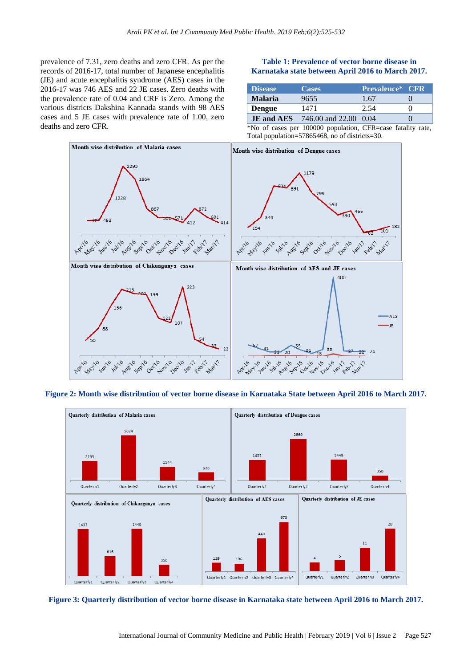prevalence of 7.31, zero deaths and zero CFR. As per the records of 2016-17, total number of Japanese encephalitis (JE) and acute encephalitis syndrome (AES) cases in the 2016-17 was 746 AES and 22 JE cases. Zero deaths with the prevalence rate of 0.04 and CRF is Zero. Among the various districts Dakshina Kannada stands with 98 AES cases and 5 JE cases with prevalence rate of 1.00, zero deaths and zero CFR.

### **Table 1: Prevalence of vector borne disease in Karnataka state between April 2016 to March 2017.**

| <b>Disease</b>    | <b>Cases</b>          | <b>Prevalence* CFR</b> |  |
|-------------------|-----------------------|------------------------|--|
| <b>Malaria</b>    | 9655                  | 1.67                   |  |
| Dengue            | 1471                  | 2.54                   |  |
| <b>JE</b> and AES | 746.00 and 22.00 0.04 |                        |  |

\*No of cases per 100000 population, CFR=case fatality rate, Total population=57865468, no of districts=30.



**Figure 2: Month wise distribution of vector borne disease in Karnataka State between April 2016 to March 2017.**



**Figure 3: Quarterly distribution of vector borne disease in Karnataka state between April 2016 to March 2017.**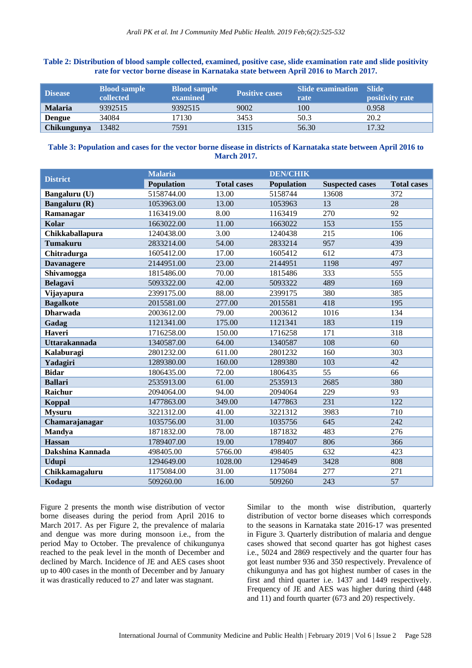**Table 2: Distribution of blood sample collected, examined, positive case, slide examination rate and slide positivity rate for vector borne disease in Karnataka state between April 2016 to March 2017.**

| <b>Disease</b>     | <b>Blood sample</b><br>collected | <b>Blood sample</b><br>examined | <b>Positive cases</b> | <b>Slide examination</b><br>rate | <b>Slide</b><br>positivity rate |
|--------------------|----------------------------------|---------------------------------|-----------------------|----------------------------------|---------------------------------|
| <b>Malaria</b>     | 9392515                          | 9392515                         | 9002                  | 100                              | 0.958                           |
| <b>Dengue</b>      | 34084                            | 17130                           | 3453                  | 50.3                             | 20.2                            |
| <b>Chikungunya</b> | 13482                            | 7591                            | 1315                  | 56.30                            | 17.32                           |

# **Table 3: Population and cases for the vector borne disease in districts of Karnataka state between April 2016 to March 2017.**

| <b>District</b>      | <b>Malaria</b>    |                    | <b>DEN/CHIK</b>   |                        |                    |  |
|----------------------|-------------------|--------------------|-------------------|------------------------|--------------------|--|
|                      | <b>Population</b> | <b>Total cases</b> | <b>Population</b> | <b>Suspected cases</b> | <b>Total cases</b> |  |
| Bangaluru (U)        | 5158744.00        | 13.00              | 5158744           | 13608                  | 372                |  |
| Bangaluru (R)        | 1053963.00        | 13.00              | 1053963           | 13                     | 28                 |  |
| Ramanagar            | 1163419.00        | 8.00               | 1163419           | 270                    | 92                 |  |
| Kolar                | 1663022.00        | 11.00              | 1663022           | 153                    | 155                |  |
| Chikkaballapura      | 1240438.00        | 3.00               | 1240438           | 215                    | 106                |  |
| <b>Tumakuru</b>      | 2833214.00        | 54.00              | 2833214           | 957                    | 439                |  |
| Chitradurga          | 1605412.00        | 17.00              | 1605412           | 612                    | 473                |  |
| <b>Davanagere</b>    | 2144951.00        | 23.00              | 2144951           | 1198                   | 497                |  |
| Shivamogga           | 1815486.00        | 70.00              | 1815486           | 333                    | 555                |  |
| <b>Belagavi</b>      | 5093322.00        | 42.00              | 5093322           | 489                    | 169                |  |
| Vijayapura           | 2399175.00        | 88.00              | 2399175           | 380                    | 385                |  |
| <b>Bagalkote</b>     | 2015581.00        | 277.00             | 2015581           | 418                    | 195                |  |
| <b>Dharwada</b>      | 2003612.00        | 79.00              | 2003612           | 1016                   | 134                |  |
| Gadag                | 1121341.00        | 175.00             | 1121341           | 183                    | 119                |  |
| Haveri               | 1716258.00        | 150.00             | 1716258           | 171                    | 318                |  |
| <b>Uttarakannada</b> | 1340587.00        | 64.00              | 1340587           | 108                    | 60                 |  |
| Kalaburagi           | 2801232.00        | 611.00             | 2801232           | 160                    | 303                |  |
| Yadagiri             | 1289380.00        | 160.00             | 1289380           | 103                    | 42                 |  |
| <b>Bidar</b>         | 1806435.00        | 72.00              | 1806435           | 55                     | 66                 |  |
| <b>Ballari</b>       | 2535913.00        | 61.00              | 2535913           | 2685                   | 380                |  |
| Raichur              | 2094064.00        | 94.00              | 2094064           | 229                    | 93                 |  |
| <b>Koppal</b>        | 1477863.00        | 349.00             | 1477863           | 231                    | 122                |  |
| <b>Mysuru</b>        | 3221312.00        | 41.00              | 3221312           | 3983                   | 710                |  |
| Chamarajanagar       | 1035756.00        | 31.00              | 1035756           | 645                    | 242                |  |
| Mandya               | 1871832.00        | 78.00              | 1871832           | 483                    | 276                |  |
| <b>Hassan</b>        | 1789407.00        | 19.00              | 1789407           | 806                    | 366                |  |
| Dakshina Kannada     | 498405.00         | 5766.00            | 498405            | 632                    | 423                |  |
| <b>Udupi</b>         | 1294649.00        | 1028.00            | 1294649           | 3428                   | 808                |  |
| Chikkamagaluru       | 1175084.00        | 31.00              | 1175084           | 277                    | 271                |  |
| Kodagu               | 509260.00         | 16.00              | 509260            | 243                    | 57                 |  |

Figure 2 presents the month wise distribution of vector borne diseases during the period from April 2016 to March 2017. As per Figure 2, the prevalence of malaria and dengue was more during monsoon i.e., from the period May to October. The prevalence of chikungunya reached to the peak level in the month of December and declined by March. Incidence of JE and AES cases shoot up to 400 cases in the month of December and by January it was drastically reduced to 27 and later was stagnant.

Similar to the month wise distribution, quarterly distribution of vector borne diseases which corresponds to the seasons in Karnataka state 2016-17 was presented in Figure 3. Quarterly distribution of malaria and dengue cases showed that second quarter has got highest cases i.e., 5024 and 2869 respectively and the quarter four has got least number 936 and 350 respectively. Prevalence of chikungunya and has got highest number of cases in the first and third quarter i.e. 1437 and 1449 respectively. Frequency of JE and AES was higher during third (448 and 11) and fourth quarter (673 and 20) respectively.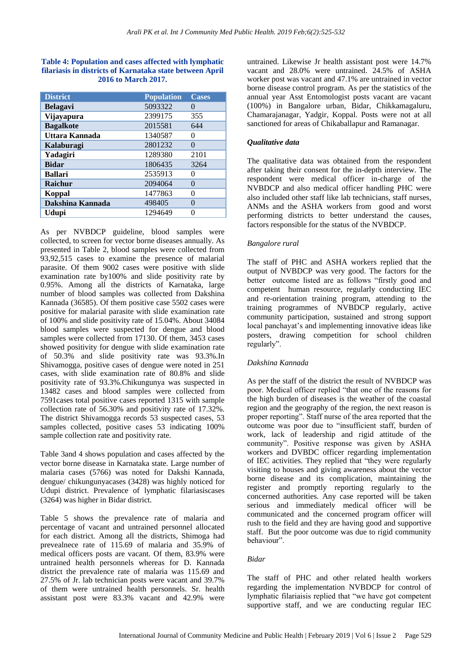### **Table 4: Population and cases affected with lymphatic filariasis in districts of Karnataka state between April 2016 to March 2017.**

| <b>District</b>  | <b>Population</b> | <b>Cases</b>      |
|------------------|-------------------|-------------------|
| <b>Belagavi</b>  | 5093322           | $\mathbf{\Omega}$ |
| Vijayapura       | 2399175           | 355               |
| <b>Bagalkote</b> | 2015581           | 644               |
| Uttara Kannada   | 1340587           | $\theta$          |
| Kalaburagi       | 2801232           | $\mathcal{O}$     |
| Yadagiri         | 1289380           | 2101              |
| <b>Bidar</b>     | 1806435           | 3264              |
| <b>Ballari</b>   | 2535913           | $\mathcal{O}$     |
| Raichur          | 2094064           |                   |
| Koppal           | 1477863           | $\theta$          |
| Dakshina Kannada | 498405            | $\left( \right)$  |
| <b>Udupi</b>     | 1294649           |                   |

As per NVBDCP guideline, blood samples were collected, to screen for vector borne diseases annually. As presented in Table 2, blood samples were collected from 93,92,515 cases to examine the presence of malarial parasite. Of them 9002 cases were positive with slide examination rate by100% and slide positivity rate by 0.95%. Among all the districts of Karnataka, large number of blood samples was collected from Dakshina Kannada (36585). Of them positive case 5502 cases were positive for malarial parasite with slide examination rate of 100% and slide positivity rate of 15.04%. About 34084 blood samples were suspected for dengue and blood samples were collected from 17130. Of them, 3453 cases showed positivity for dengue with slide examination rate of 50.3% and slide positivity rate was 93.3%.In Shivamogga, positive cases of dengue were noted in 251 cases, with slide examination rate of 80.8% and slide positivity rate of 93.3%.Chikungunya was suspected in 13482 cases and blood samples were collected from 7591cases total positive cases reported 1315 with sample collection rate of 56.30% and positivity rate of 17.32%. The district Shivamogga records 53 suspected cases, 53 samples collected, positive cases 53 indicating 100% sample collection rate and positivity rate.

Table 3and 4 shows population and cases affected by the vector borne disease in Karnataka state. Large number of malaria cases (5766) was noted for Dakshi Kannada, dengue/ chikungunyacases (3428) was highly noticed for Udupi district. Prevalence of lymphatic filariasiscases (3264) was higher in Bidar district.

Table 5 shows the prevalence rate of malaria and percentage of vacant and untrained personnel allocated for each district. Among all the districts, Shimoga had prevealnece rate of 115.69 of malaria and 35.9% of medical officers posts are vacant. Of them, 83.9% were untrained health personnels whereas for D. Kannada district the prevalence rate of malaria was 115.69 and 27.5% of Jr. lab technician posts were vacant and 39.7% of them were untrained health personnels. Sr. health assistant post were 83.3% vacant and 42.9% were untrained. Likewise Jr health assistant post were 14.7% vacant and 28.0% were untrained. 24.5% of ASHA worker post was vacant and 47.1% are untrained in vector borne disease control program. As per the statistics of the annual year Asst Entomologist posts vacant are vacant (100%) in Bangalore urban, Bidar, Chikkamagaluru, Chamarajanagar, Yadgir, Koppal. Posts were not at all sanctioned for areas of Chikaballapur and Ramanagar.

# *Qualitative data*

The qualitative data was obtained from the respondent after taking their consent for the in-depth interview. The respondent were medical officer in-charge of the NVBDCP and also medical officer handling PHC were also included other staff like lab technicians, staff nurses, ANMs and the ASHA workers from good and worst performing districts to better understand the causes, factors responsible for the status of the NVBDCP.

# *Bangalore rural*

The staff of PHC and ASHA workers replied that the output of NVBDCP was very good. The factors for the better outcome listed are as follows "firstly good and competent human resource, regularly conducting IEC and re-orientation training program, attending to the training programmes of NVBDCP regularly, active community participation, sustained and strong support local panchayat's and implementing innovative ideas like posters, drawing competition for school children regularly".

# *Dakshina Kannada*

As per the staff of the district the result of NVBDCP was poor. Medical officer replied "that one of the reasons for the high burden of diseases is the weather of the coastal region and the geography of the region, the next reason is proper reporting". Staff nurse of the area reported that the outcome was poor due to "insufficient staff, burden of work, lack of leadership and rigid attitude of the community". Positive response was given by ASHA workers and DVBDC officer regarding implementation of IEC activities. They replied that "they were regularly visiting to houses and giving awareness about the vector borne disease and its complication, maintaining the register and promptly reporting regularly to the concerned authorities. Any case reported will be taken serious and immediately medical officer will be communicated and the concerned program officer will rush to the field and they are having good and supportive staff. But the poor outcome was due to rigid community behaviour".

# *Bidar*

The staff of PHC and other related health workers regarding the implementation NVBDCP for control of lymphatic filariaisis replied that "we have got competent supportive staff, and we are conducting regular IEC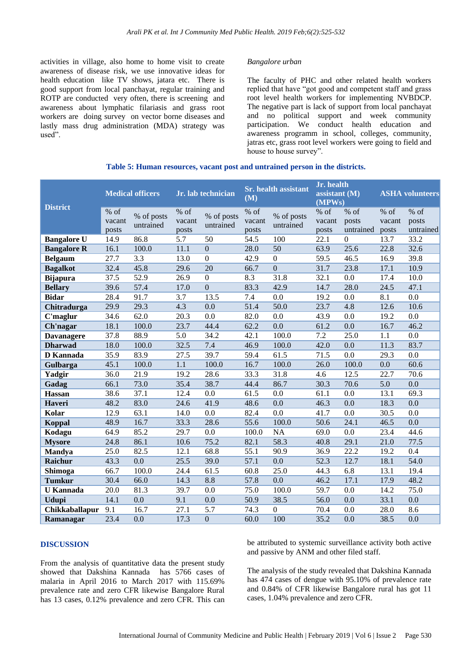activities in village, also home to home visit to create awareness of disease risk, we use innovative ideas for health education like TV shows, jatara etc. There is good support from local panchayat, regular training and ROTP are conducted very often, there is screening and awareness about lymphatic filariasis and grass root workers are doing survey on vector borne diseases and lastly mass drug administration (MDA) strategy was used".

#### *Bangalore urban*

The faculty of PHC and other related health workers replied that have "got good and competent staff and grass root level health workers for implementing NVBDCP. The negative part is lack of support from local panchayat and no political support and week community participation. We conduct health education and awareness programm in school, colleges, community, jatras etc, grass root level workers were going to field and house to house survey".

#### **Table 5: Human resources, vacant post and untrained person in the districts.**

| <b>District</b>    | <b>Medical officers</b> |            |              | Jr. lab technician<br>(M) |               | <b>Sr.</b> health assistant |               | Jr. health<br>assistant (M)<br>(MPWs) |               | <b>ASHA</b> volunteers |  |
|--------------------|-------------------------|------------|--------------|---------------------------|---------------|-----------------------------|---------------|---------------------------------------|---------------|------------------------|--|
|                    | % of                    | % of posts | $%$ of       | % of posts                | $%$ of        | % of posts                  | $%$ of        | $%$ of                                | $%$ of        | $%$ of                 |  |
|                    | vacant<br>posts         | untrained  | vacant       | untrained                 | vacant        | untrained                   | vacant        | posts<br>untrained                    | vacant        | posts<br>untrained     |  |
| <b>Bangalore U</b> | 14.9                    | 86.8       | posts<br>5.7 | 50                        | posts<br>54.5 | 100                         | posts<br>22.1 | $\overline{0}$                        | posts<br>13.7 | 33.2                   |  |
| <b>Bangalore R</b> | 16.1                    | 100.0      | 11.1         | $\overline{0}$            | 28.0          | 50                          | 63.9          | 25.6                                  | 22.8          | 32.6                   |  |
| <b>Belgaum</b>     | 27.7                    | 3.3        | 13.0         | $\overline{0}$            | 42.9          | $\boldsymbol{0}$            | 59.5          | 46.5                                  | 16.9          | 39.8                   |  |
| <b>Bagalkot</b>    | 32.4                    | 45.8       | 29.6         | 20                        | 66.7          | $\overline{0}$              | 31.7          | 23.8                                  | 17.1          | 10.9                   |  |
| <b>Bijapura</b>    | 37.5                    | 52.9       | 26.9         | $\boldsymbol{0}$          | 8.3           | 31.8                        | 32.1          | 0.0                                   | 17.4          | 10.0                   |  |
| <b>Bellary</b>     | 39.6                    | 57.4       | 17.0         | $\overline{0}$            | 83.3          | 42.9                        | 14.7          | 28.0                                  | 24.5          | 47.1                   |  |
| <b>Bidar</b>       | 28.4                    | 91.7       | 3.7          | 13.5                      | 7.4           | 0.0                         | 19.2          | 0.0                                   | 8.1           | 0.0                    |  |
| Chitradurga        | 29.9                    | 29.3       | 4.3          | 0.0                       | 51.4          | 50.0                        | 23.7          | 4.8                                   | 12.6          | 10.6                   |  |
| C'maglur           | 34.6                    | 62.0       | 20.3         | 0.0                       | 82.0          | 0.0                         | 43.9          | 0.0                                   | 19.2          | 0.0                    |  |
| Ch'nagar           | 18.1                    | 100.0      | 23.7         | 44.4                      | 62.2          | 0.0                         | 61.2          | 0.0                                   | 16.7          | 46.2                   |  |
| <b>Davanagere</b>  | 37.8                    | 88.9       | 5.0          | 34.2                      | 42.1          | 100.0                       | 7.2           | 25.0                                  | 1.1           | 0.0                    |  |
| <b>Dharwad</b>     | 18.0                    | 100.0      | 32.5         | 7.4                       | 46.9          | 100.0                       | 42.0          | 0.0                                   | 11.3          | 83.7                   |  |
| D Kannada          | 35.9                    | 83.9       | 27.5         | 39.7                      | 59.4          | 61.5                        | 71.5          | 0.0                                   | 29.3          | 0.0                    |  |
| Gulbarga           | 45.1                    | 100.0      | 1.1          | 100.0                     | 16.7          | 100.0                       | 26.0          | 100.0                                 | 0.0           | 60.6                   |  |
| Yadgir             | 36.0                    | 21.9       | 19.2         | 28.6                      | 33.3          | 31.8                        | 4.6           | 12.5                                  | 22.7          | 70.6                   |  |
| Gadag              | 66.1                    | 73.0       | 35.4         | 38.7                      | 44.4          | 86.7                        | 30.3          | 70.6                                  | 5.0           | 0.0                    |  |
| <b>Hassan</b>      | 38.6                    | 37.1       | 12.4         | 0.0                       | 61.5          | 0.0                         | 61.1          | 0.0                                   | 13.1          | 69.3                   |  |
| Haveri             | 48.2                    | 83.0       | 24.6         | 41.9                      | 48.6          | 0.0                         | 46.3          | 0.0                                   | 18.3          | 0.0                    |  |
| Kolar              | 12.9                    | 63.1       | 14.0         | $\overline{0.0}$          | 82.4          | 0.0                         | 41.7          | 0.0                                   | 30.5          | 0.0                    |  |
| <b>Koppal</b>      | 48.9                    | 16.7       | 33.3         | 28.6                      | 55.6          | 100.0                       | 50.6          | 24.1                                  | 46.5          | 0.0                    |  |
| Kodagu             | 64.9                    | 85.2       | 29.7         | 0.0                       | 100.0         | <b>NA</b>                   | 69.0          | 0.0                                   | 23.4          | 44.6                   |  |
| <b>Mysore</b>      | 24.8                    | 86.1       | 10.6         | 75.2                      | 82.1          | 58.3                        | 40.8          | 29.1                                  | 21.0          | 77.5                   |  |
| Mandya             | 25.0                    | 82.5       | 12.1         | 68.8                      | 55.1          | 90.9                        | 36.9          | 22.2                                  | 19.2          | 0.4                    |  |
| Raichur            | 43.3                    | 0.0        | 25.5         | 39.0                      | 57.1          | 0.0                         | 52.3          | 12.7                                  | 18.1          | 54.0                   |  |
| Shimoga            | 66.7                    | 100.0      | 24.4         | 61.5                      | 60.8          | 25.0                        | 44.3          | 6.8                                   | 13.1          | 19.4                   |  |
| <b>Tumkur</b>      | 30.4                    | 66.0       | 14.3         | 8.8                       | 57.8          | 0.0                         | 46.2          | 17.1                                  | 17.9          | 48.2                   |  |
| <b>U</b> Kannada   | 20.0                    | 81.3       | 39.7         | 0.0                       | 75.0          | 100.0                       | 59.7          | 0.0                                   | 14.2          | 75.0                   |  |
| <b>Udupi</b>       | 14.1                    | 0.0        | 9.1          | 0.0                       | 50.9          | 38.5                        | 56.0          | 0.0                                   | 33.1          | 0.0                    |  |
| Chikkaballapur     | 9.1                     | 16.7       | 27.1         | 5.7                       | 74.3          | $\boldsymbol{0}$            | 70.4          | 0.0                                   | 28.0          | 8.6                    |  |
| Ramanagar          | 23.4                    | 0.0        | 17.3         | $\boldsymbol{0}$          | 60.0          | 100                         | 35.2          | 0.0                                   | 38.5          | 0.0                    |  |

#### **DISCUSSION**

From the analysis of quantitative data the present study showed that Dakshina Kannada has 5766 cases of malaria in April 2016 to March 2017 with 115.69% prevalence rate and zero CFR likewise Bangalore Rural has 13 cases, 0.12% prevalence and zero CFR. This can be attributed to systemic surveillance activity both active and passive by ANM and other filed staff.

The analysis of the study revealed that Dakshina Kannada has 474 cases of dengue with 95.10% of prevalence rate and 0.84% of CFR likewise Bangalore rural has got 11 cases, 1.04% prevalence and zero CFR.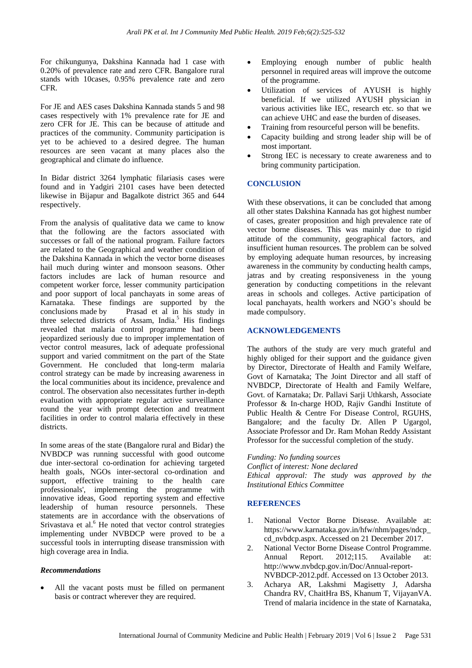For chikungunya, Dakshina Kannada had 1 case with 0.20% of prevalence rate and zero CFR. Bangalore rural stands with 10cases, 0.95% prevalence rate and zero CFR.

For JE and AES cases Dakshina Kannada stands 5 and 98 cases respectively with 1% prevalence rate for JE and zero CFR for JE. This can be because of attitude and practices of the community. Community participation is yet to be achieved to a desired degree. The human resources are seen vacant at many places also the geographical and climate do influence.

In Bidar district 3264 lymphatic filariasis cases were found and in Yadgiri 2101 cases have been detected likewise in Bijapur and Bagalkote district 365 and 644 respectively.

From the analysis of qualitative data we came to know that the following are the factors associated with successes or fall of the national program. Failure factors are related to the Geographical and weather condition of the Dakshina Kannada in which the vector borne diseases hail much during winter and monsoon seasons. Other factors includes are lack of human resource and competent worker force, lesser community participation and poor support of local panchayats in some areas of Karnataka. These findings are supported by the conclusions made by Prasad et al in his study in three selected districts of Assam, India.<sup>5</sup> His findings revealed that malaria control programme had been jeopardized seriously due to improper implementation of vector control measures, lack of adequate professional support and varied commitment on the part of the State Government. He concluded that long-term malaria control strategy can be made by increasing awareness in the local communities about its incidence, prevalence and control. The observation also necessitates further in-depth evaluation with appropriate regular active surveillance round the year with prompt detection and treatment facilities in order to control malaria effectively in these districts.

In some areas of the state (Bangalore rural and Bidar) the NVBDCP was running successful with good outcome due inter-sectoral co-ordination for achieving targeted health goals, NGOs inter-sectoral co-ordination and support, effective training to the health care professionals', implementing the programme with innovative ideas, Good reporting system and effective leadership of human resource personnels. These statements are in accordance with the observations of Srivastava et al.<sup>6</sup> He noted that vector control strategies implementing under NVBDCP were proved to be a successful tools in interrupting disease transmission with high coverage area in India.

# *Recommendations*

 All the vacant posts must be filled on permanent basis or contract wherever they are required.

- Employing enough number of public health personnel in required areas will improve the outcome of the programme.
- Utilization of services of AYUSH is highly beneficial. If we utilized AYUSH physician in various activities like IEC, research etc. so that we can achieve UHC and ease the burden of diseases.
- Training from resourceful person will be benefits.
- Capacity building and strong leader ship will be of most important.
- Strong IEC is necessary to create awareness and to bring community participation.

### **CONCLUSION**

With these observations, it can be concluded that among all other states Dakshina Kannada has got highest number of cases, greater proposition and high prevalence rate of vector borne diseases. This was mainly due to rigid attitude of the community, geographical factors, and insufficient human resources. The problem can be solved by employing adequate human resources, by increasing awareness in the community by conducting health camps, jatras and by creating responsiveness in the young generation by conducting competitions in the relevant areas in schools and colleges. Active participation of local panchayats, health workers and NGO's should be made compulsory.

# **ACKNOWLEDGEMENTS**

The authors of the study are very much grateful and highly obliged for their support and the guidance given by Director, Directorate of Health and Family Welfare, Govt of Karnataka; The Joint Director and all staff of NVBDCP, Directorate of Health and Family Welfare, Govt. of Karnataka; Dr. Pallavi Sarji Uthkarsh, Associate Professor & In-charge HOD, Rajiv Gandhi Institute of Public Health & Centre For Disease Control, RGUHS, Bangalore; and the faculty Dr. Allen P Ugargol, Associate Professor and Dr. Ram Mohan Reddy Assistant Professor for the successful completion of the study.

*Funding: No funding sources Conflict of interest: None declared Ethical approval: The study was approved by the Institutional Ethics Committee*

#### **REFERENCES**

- 1. National Vector Borne Disease. Available at: https://www.karnataka.gov.in/hfw/nhm/pages/ndcp\_ cd\_nvbdcp.aspx. Accessed on 21 December 2017.
- 2. National Vector Borne Disease Control Programme. Annual Report. 2012;115. Available at: http://www.nvbdcp.gov.in/Doc/Annual-report-NVBDCP-2012.pdf. Accessed on 13 October 2013.
- 3. Acharya AR, Lakshmi Magisetty J, Adarsha Chandra RV, ChaitHra BS, Khanum T, VijayanVA. Trend of malaria incidence in the state of Karnataka,